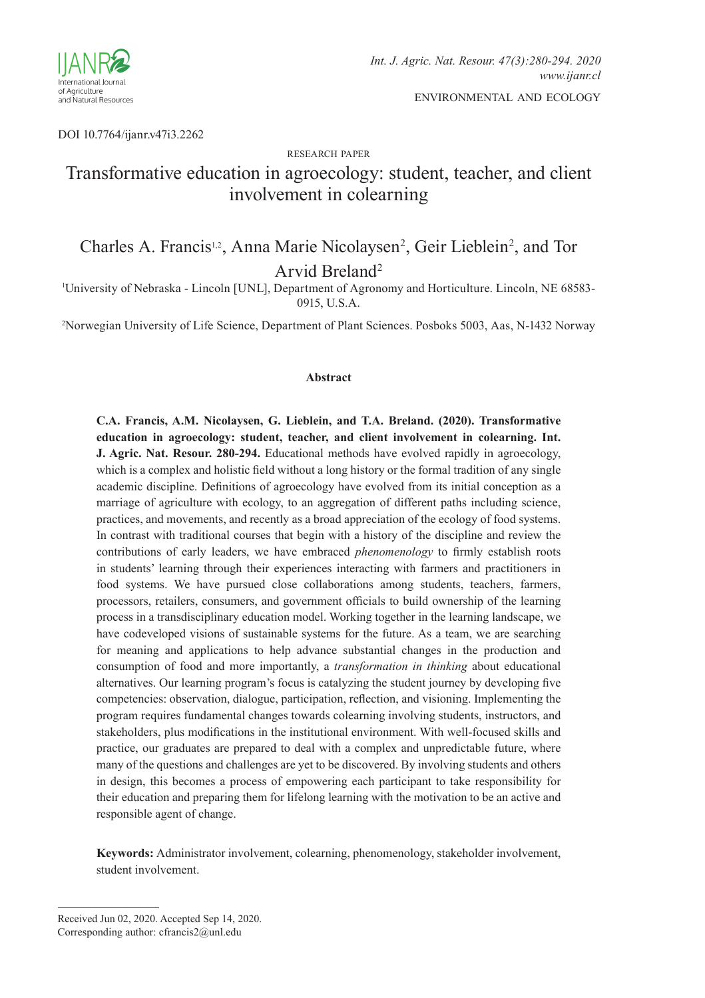

DOI 10.7764/ijanr.v47i3.2262

#### research paper

# Transformative education in agroecology: student, teacher, and client involvement in colearning

# Charles A. Francis<sup>1,2</sup>, Anna Marie Nicolaysen<sup>2</sup>, Geir Lieblein<sup>2</sup>, and Tor Arvid Breland2

1 University of Nebraska - Lincoln [UNL], Department of Agronomy and Horticulture. Lincoln, NE 68583- 0915, U.S.A.

2 Norwegian University of Life Science, Department of Plant Sciences. Posboks 5003, Aas, N-1432 Norway

#### **Abstract**

**C.A. Francis, A.M. Nicolaysen, G. Lieblein, and T.A. Breland. (2020). Transformative education in agroecology: student, teacher, and client involvement in colearning. Int. J. Agric. Nat. Resour. 280-294.** Educational methods have evolved rapidly in agroecology, which is a complex and holistic field without a long history or the formal tradition of any single academic discipline. Definitions of agroecology have evolved from its initial conception as a marriage of agriculture with ecology, to an aggregation of different paths including science, practices, and movements, and recently as a broad appreciation of the ecology of food systems. In contrast with traditional courses that begin with a history of the discipline and review the contributions of early leaders, we have embraced *phenomenology* to firmly establish roots in students' learning through their experiences interacting with farmers and practitioners in food systems. We have pursued close collaborations among students, teachers, farmers, processors, retailers, consumers, and government officials to build ownership of the learning process in a transdisciplinary education model. Working together in the learning landscape, we have codeveloped visions of sustainable systems for the future. As a team, we are searching for meaning and applications to help advance substantial changes in the production and consumption of food and more importantly, a *transformation in thinking* about educational alternatives. Our learning program's focus is catalyzing the student journey by developing five competencies: observation, dialogue, participation, reflection, and visioning. Implementing the program requires fundamental changes towards colearning involving students, instructors, and stakeholders, plus modifications in the institutional environment. With well-focused skills and practice, our graduates are prepared to deal with a complex and unpredictable future, where many of the questions and challenges are yet to be discovered. By involving students and others in design, this becomes a process of empowering each participant to take responsibility for their education and preparing them for lifelong learning with the motivation to be an active and responsible agent of change.

**Keywords:** Administrator involvement, colearning, phenomenology, stakeholder involvement, student involvement.

Received Jun 02, 2020. Accepted Sep 14, 2020. Corresponding author: cfrancis2@unl.edu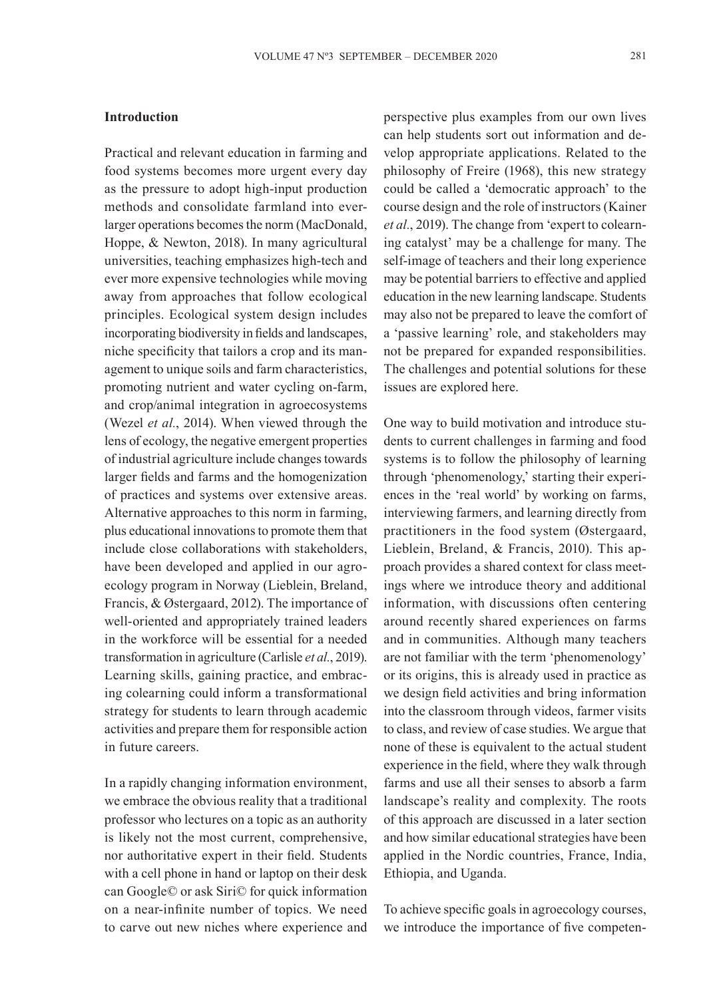## **Introduction**

Practical and relevant education in farming and food systems becomes more urgent every day as the pressure to adopt high-input production methods and consolidate farmland into everlarger operations becomes the norm (MacDonald, Hoppe, & Newton, 2018). In many agricultural universities, teaching emphasizes high-tech and ever more expensive technologies while moving away from approaches that follow ecological principles. Ecological system design includes incorporating biodiversity in fields and landscapes, niche specificity that tailors a crop and its management to unique soils and farm characteristics, promoting nutrient and water cycling on-farm, and crop/animal integration in agroecosystems (Wezel *et al.*, 2014). When viewed through the lens of ecology, the negative emergent properties of industrial agriculture include changes towards larger fields and farms and the homogenization of practices and systems over extensive areas. Alternative approaches to this norm in farming, plus educational innovations to promote them that include close collaborations with stakeholders, have been developed and applied in our agroecology program in Norway (Lieblein, Breland, Francis, & Østergaard, 2012). The importance of well-oriented and appropriately trained leaders in the workforce will be essential for a needed transformation in agriculture (Carlisle *et al.*, 2019). Learning skills, gaining practice, and embracing colearning could inform a transformational strategy for students to learn through academic activities and prepare them for responsible action in future careers.

In a rapidly changing information environment, we embrace the obvious reality that a traditional professor who lectures on a topic as an authority is likely not the most current, comprehensive, nor authoritative expert in their field. Students with a cell phone in hand or laptop on their desk can Google© or ask Siri© for quick information on a near-infinite number of topics. We need to carve out new niches where experience and perspective plus examples from our own lives can help students sort out information and develop appropriate applications. Related to the philosophy of Freire (1968), this new strategy could be called a 'democratic approach' to the course design and the role of instructors (Kainer *et al.*, 2019). The change from 'expert to colearning catalyst' may be a challenge for many. The self-image of teachers and their long experience may be potential barriers to effective and applied education in the new learning landscape. Students may also not be prepared to leave the comfort of a 'passive learning' role, and stakeholders may not be prepared for expanded responsibilities. The challenges and potential solutions for these issues are explored here.

One way to build motivation and introduce students to current challenges in farming and food systems is to follow the philosophy of learning through 'phenomenology,' starting their experiences in the 'real world' by working on farms, interviewing farmers, and learning directly from practitioners in the food system (Østergaard, Lieblein, Breland, & Francis, 2010). This approach provides a shared context for class meetings where we introduce theory and additional information, with discussions often centering around recently shared experiences on farms and in communities. Although many teachers are not familiar with the term 'phenomenology' or its origins, this is already used in practice as we design field activities and bring information into the classroom through videos, farmer visits to class, and review of case studies. We argue that none of these is equivalent to the actual student experience in the field, where they walk through farms and use all their senses to absorb a farm landscape's reality and complexity. The roots of this approach are discussed in a later section and how similar educational strategies have been applied in the Nordic countries, France, India, Ethiopia, and Uganda.

To achieve specific goals in agroecology courses, we introduce the importance of five competen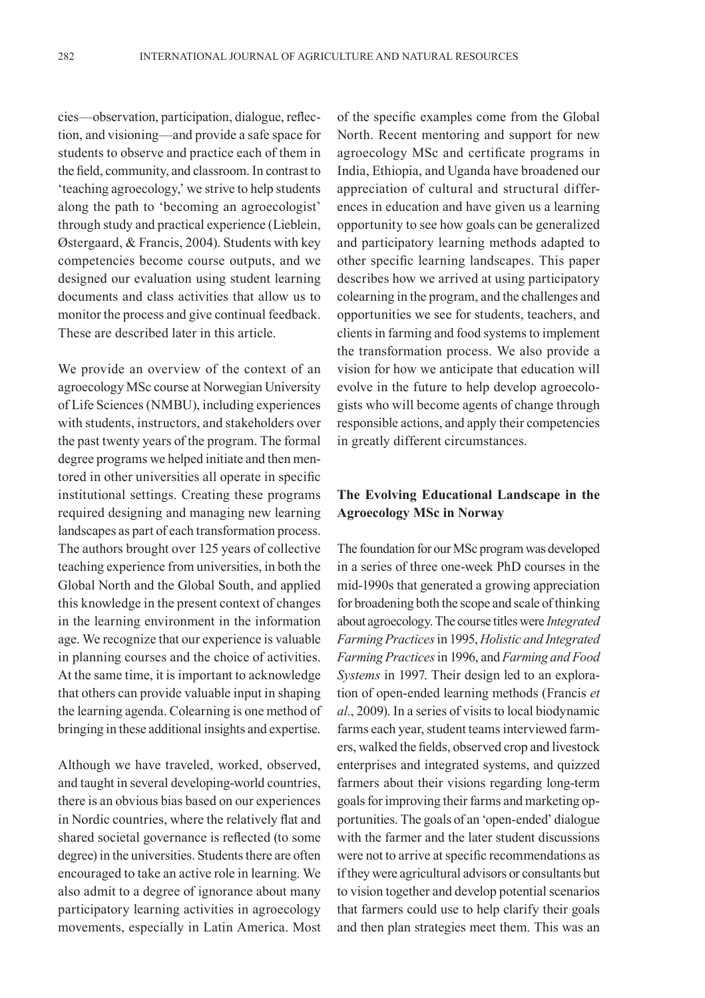cies—observation, participation, dialogue, reflection, and visioning—and provide a safe space for students to observe and practice each of them in the field, community, and classroom. In contrast to 'teaching agroecology,' we strive to help students along the path to 'becoming an agroecologist' through study and practical experience (Lieblein, Østergaard, & Francis, 2004). Students with key competencies become course outputs, and we designed our evaluation using student learning documents and class activities that allow us to monitor the process and give continual feedback. These are described later in this article.

We provide an overview of the context of an agroecology MSc course at Norwegian University of Life Sciences (NMBU), including experiences with students, instructors, and stakeholders over the past twenty years of the program. The formal degree programs we helped initiate and then mentored in other universities all operate in specific institutional settings. Creating these programs required designing and managing new learning landscapes as part of each transformation process. The authors brought over 125 years of collective teaching experience from universities, in both the Global North and the Global South, and applied this knowledge in the present context of changes in the learning environment in the information age. We recognize that our experience is valuable in planning courses and the choice of activities. At the same time, it is important to acknowledge that others can provide valuable input in shaping the learning agenda. Colearning is one method of bringing in these additional insights and expertise.

Although we have traveled, worked, observed, and taught in several developing-world countries, there is an obvious bias based on our experiences in Nordic countries, where the relatively flat and shared societal governance is reflected (to some degree) in the universities. Students there are often encouraged to take an active role in learning. We also admit to a degree of ignorance about many participatory learning activities in agroecology movements, especially in Latin America. Most

of the specific examples come from the Global North. Recent mentoring and support for new agroecology MSc and certificate programs in India, Ethiopia, and Uganda have broadened our appreciation of cultural and structural differences in education and have given us a learning opportunity to see how goals can be generalized and participatory learning methods adapted to other specific learning landscapes. This paper describes how we arrived at using participatory colearning in the program, and the challenges and opportunities we see for students, teachers, and clients in farming and food systems to implement the transformation process. We also provide a vision for how we anticipate that education will evolve in the future to help develop agroecologists who will become agents of change through responsible actions, and apply their competencies in greatly different circumstances.

# **The Evolving Educational Landscape in the Agroecology MSc in Norway**

The foundation for our MSc program was developed in a series of three one-week PhD courses in the mid-1990s that generated a growing appreciation for broadening both the scope and scale of thinking about agroecology. The course titles were *Integrated Farming Practices* in 1995, *Holistic and Integrated Farming Practices* in 1996, and *Farming and Food Systems* in 1997. Their design led to an exploration of open-ended learning methods (Francis *et al.*, 2009). In a series of visits to local biodynamic farms each year, student teams interviewed farmers, walked the fields, observed crop and livestock enterprises and integrated systems, and quizzed farmers about their visions regarding long-term goals for improving their farms and marketing opportunities. The goals of an 'open-ended' dialogue with the farmer and the later student discussions were not to arrive at specific recommendations as if they were agricultural advisors or consultants but to vision together and develop potential scenarios that farmers could use to help clarify their goals and then plan strategies meet them. This was an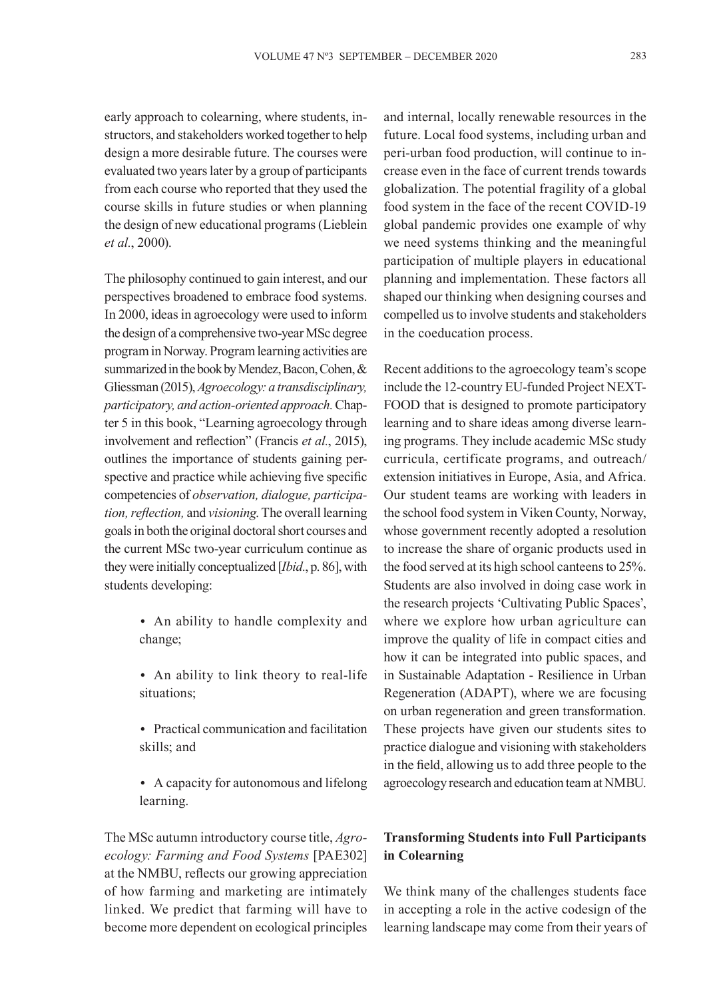early approach to colearning, where students, instructors, and stakeholders worked together to help design a more desirable future. The courses were evaluated two years later by a group of participants from each course who reported that they used the course skills in future studies or when planning the design of new educational programs (Lieblein *et al.*, 2000).

The philosophy continued to gain interest, and our perspectives broadened to embrace food systems. In 2000, ideas in agroecology were used to inform the design of a comprehensive two-year MSc degree program in Norway. Program learning activities are summarized in the book by Mendez, Bacon, Cohen, & Gliessman (2015), *Agroecology: a transdisciplinary, participatory, and action-oriented approach.* Chapter 5 in this book, "Learning agroecology through involvement and reflection" (Francis *et al.*, 2015), outlines the importance of students gaining perspective and practice while achieving five specific competencies of *observation, dialogue, participation, reflection,* and *visioning*. The overall learning goals in both the original doctoral short courses and the current MSc two-year curriculum continue as they were initially conceptualized [*Ibid.*, p. 86], with students developing:

- An ability to handle complexity and change;
- An ability to link theory to real-life situations;
- Practical communication and facilitation skills; and
- A capacity for autonomous and lifelong learning.

The MSc autumn introductory course title, *Agroecology: Farming and Food Systems* [PAE302] at the NMBU, reflects our growing appreciation of how farming and marketing are intimately linked. We predict that farming will have to become more dependent on ecological principles and internal, locally renewable resources in the future. Local food systems, including urban and peri-urban food production, will continue to increase even in the face of current trends towards globalization. The potential fragility of a global food system in the face of the recent COVID-19 global pandemic provides one example of why we need systems thinking and the meaningful participation of multiple players in educational planning and implementation. These factors all shaped our thinking when designing courses and compelled us to involve students and stakeholders in the coeducation process.

Recent additions to the agroecology team's scope include the 12-country EU-funded Project NEXT-FOOD that is designed to promote participatory learning and to share ideas among diverse learning programs. They include academic MSc study curricula, certificate programs, and outreach/ extension initiatives in Europe, Asia, and Africa. Our student teams are working with leaders in the school food system in Viken County, Norway, whose government recently adopted a resolution to increase the share of organic products used in the food served at its high school canteens to 25%. Students are also involved in doing case work in the research projects 'Cultivating Public Spaces', where we explore how urban agriculture can improve the quality of life in compact cities and how it can be integrated into public spaces, and in Sustainable Adaptation - Resilience in Urban Regeneration (ADAPT), where we are focusing on urban regeneration and green transformation. These projects have given our students sites to practice dialogue and visioning with stakeholders in the field, allowing us to add three people to the agroecology research and education team at NMBU.

# **Transforming Students into Full Participants in Colearning**

We think many of the challenges students face in accepting a role in the active codesign of the learning landscape may come from their years of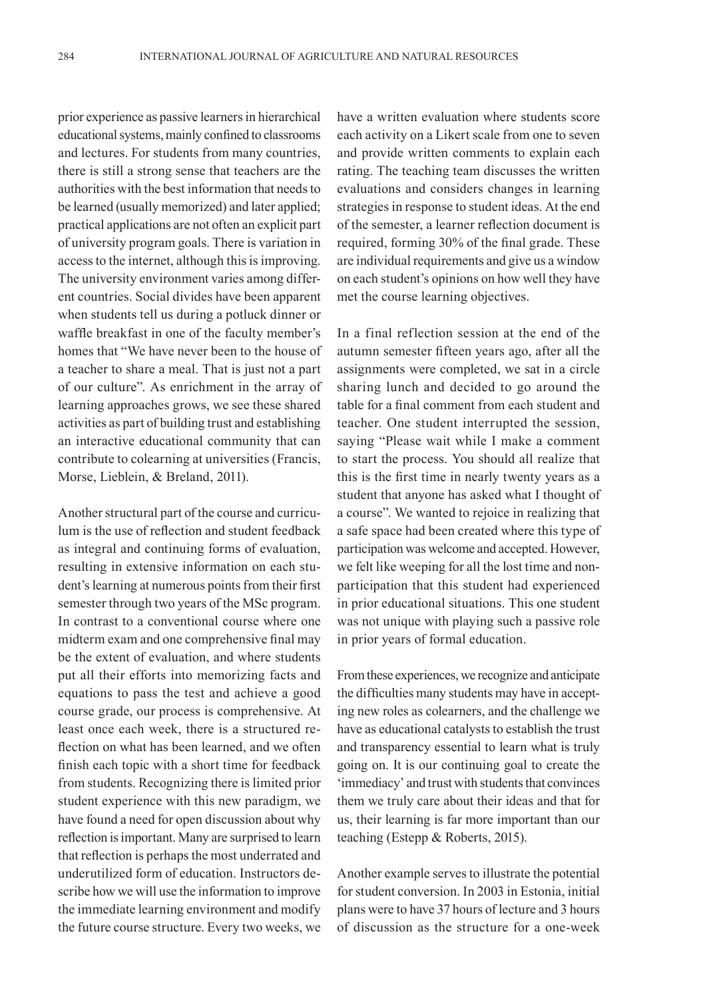prior experience as passive learners in hierarchical educational systems, mainly confined to classrooms and lectures. For students from many countries, there is still a strong sense that teachers are the authorities with the best information that needs to be learned (usually memorized) and later applied; practical applications are not often an explicit part of university program goals. There is variation in access to the internet, although this is improving. The university environment varies among different countries. Social divides have been apparent when students tell us during a potluck dinner or waffle breakfast in one of the faculty member's homes that "We have never been to the house of a teacher to share a meal. That is just not a part of our culture". As enrichment in the array of learning approaches grows, we see these shared activities as part of building trust and establishing an interactive educational community that can contribute to colearning at universities (Francis, Morse, Lieblein, & Breland, 2011).

Another structural part of the course and curriculum is the use of reflection and student feedback as integral and continuing forms of evaluation, resulting in extensive information on each student's learning at numerous points from their first semester through two years of the MSc program. In contrast to a conventional course where one midterm exam and one comprehensive final may be the extent of evaluation, and where students put all their efforts into memorizing facts and equations to pass the test and achieve a good course grade, our process is comprehensive. At least once each week, there is a structured reflection on what has been learned, and we often finish each topic with a short time for feedback from students. Recognizing there is limited prior student experience with this new paradigm, we have found a need for open discussion about why reflection is important. Many are surprised to learn that reflection is perhaps the most underrated and underutilized form of education. Instructors describe how we will use the information to improve the immediate learning environment and modify the future course structure. Every two weeks, we have a written evaluation where students score each activity on a Likert scale from one to seven and provide written comments to explain each rating. The teaching team discusses the written evaluations and considers changes in learning strategies in response to student ideas. At the end of the semester, a learner reflection document is required, forming 30% of the final grade. These are individual requirements and give us a window on each student's opinions on how well they have met the course learning objectives.

In a final reflection session at the end of the autumn semester fifteen years ago, after all the assignments were completed, we sat in a circle sharing lunch and decided to go around the table for a final comment from each student and teacher. One student interrupted the session, saying "Please wait while I make a comment to start the process. You should all realize that this is the first time in nearly twenty years as a student that anyone has asked what I thought of a course". We wanted to rejoice in realizing that a safe space had been created where this type of participation was welcome and accepted. However, we felt like weeping for all the lost time and nonparticipation that this student had experienced in prior educational situations. This one student was not unique with playing such a passive role in prior years of formal education.

From these experiences, we recognize and anticipate the difficulties many students may have in accepting new roles as colearners, and the challenge we have as educational catalysts to establish the trust and transparency essential to learn what is truly going on. It is our continuing goal to create the 'immediacy' and trust with students that convinces them we truly care about their ideas and that for us, their learning is far more important than our teaching (Estepp & Roberts, 2015).

Another example serves to illustrate the potential for student conversion. In 2003 in Estonia, initial plans were to have 37 hours of lecture and 3 hours of discussion as the structure for a one-week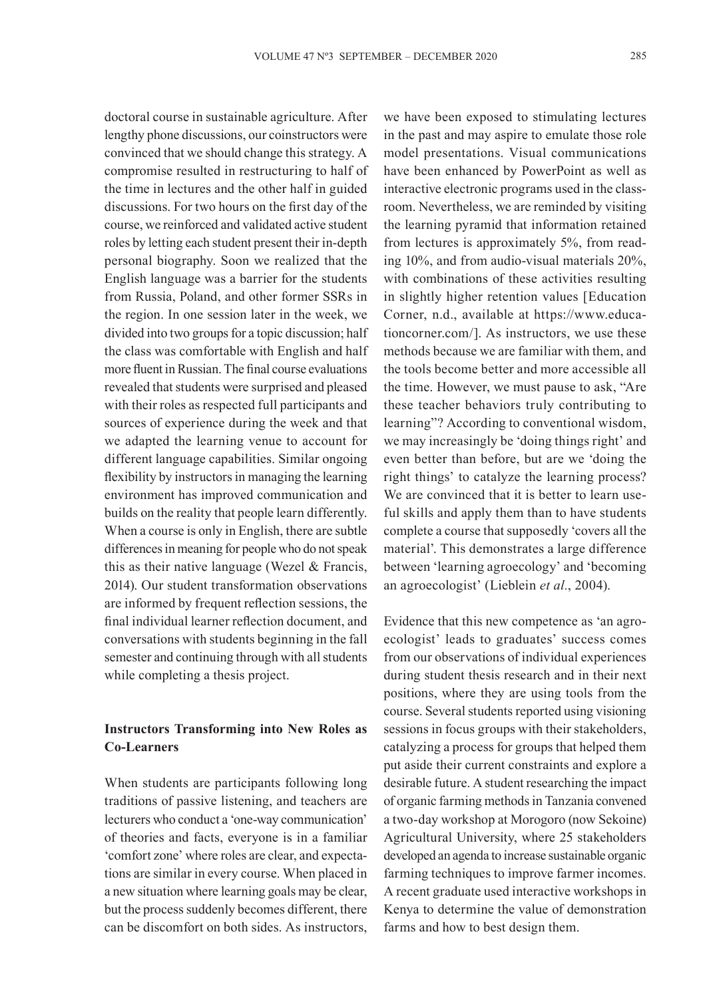doctoral course in sustainable agriculture. After lengthy phone discussions, our coinstructors were convinced that we should change this strategy. A compromise resulted in restructuring to half of the time in lectures and the other half in guided discussions. For two hours on the first day of the course, we reinforced and validated active student roles by letting each student present their in-depth personal biography. Soon we realized that the English language was a barrier for the students from Russia, Poland, and other former SSRs in the region. In one session later in the week, we divided into two groups for a topic discussion; half the class was comfortable with English and half more fluent in Russian. The final course evaluations revealed that students were surprised and pleased with their roles as respected full participants and sources of experience during the week and that we adapted the learning venue to account for different language capabilities. Similar ongoing flexibility by instructors in managing the learning environment has improved communication and builds on the reality that people learn differently. When a course is only in English, there are subtle differences in meaning for people who do not speak this as their native language (Wezel & Francis, 2014). Our student transformation observations are informed by frequent reflection sessions, the final individual learner reflection document, and conversations with students beginning in the fall semester and continuing through with all students while completing a thesis project.

# **Instructors Transforming into New Roles as Co-Learners**

When students are participants following long traditions of passive listening, and teachers are lecturers who conduct a 'one-way communication' of theories and facts, everyone is in a familiar 'comfort zone' where roles are clear, and expectations are similar in every course. When placed in a new situation where learning goals may be clear, but the process suddenly becomes different, there can be discomfort on both sides. As instructors, we have been exposed to stimulating lectures in the past and may aspire to emulate those role model presentations. Visual communications have been enhanced by PowerPoint as well as interactive electronic programs used in the classroom. Nevertheless, we are reminded by visiting the learning pyramid that information retained from lectures is approximately 5%, from reading 10%, and from audio-visual materials 20%, with combinations of these activities resulting in slightly higher retention values [Education Corner, n.d., available at https://www.educationcorner.com/]. As instructors, we use these methods because we are familiar with them, and the tools become better and more accessible all the time. However, we must pause to ask, "Are these teacher behaviors truly contributing to learning"? According to conventional wisdom, we may increasingly be 'doing things right' and even better than before, but are we 'doing the right things' to catalyze the learning process? We are convinced that it is better to learn useful skills and apply them than to have students complete a course that supposedly 'covers all the material'. This demonstrates a large difference between 'learning agroecology' and 'becoming an agroecologist' (Lieblein *et al.*, 2004).

Evidence that this new competence as 'an agroecologist' leads to graduates' success comes from our observations of individual experiences during student thesis research and in their next positions, where they are using tools from the course. Several students reported using visioning sessions in focus groups with their stakeholders, catalyzing a process for groups that helped them put aside their current constraints and explore a desirable future. A student researching the impact of organic farming methods in Tanzania convened a two-day workshop at Morogoro (now Sekoine) Agricultural University, where 25 stakeholders developed an agenda to increase sustainable organic farming techniques to improve farmer incomes. A recent graduate used interactive workshops in Kenya to determine the value of demonstration farms and how to best design them.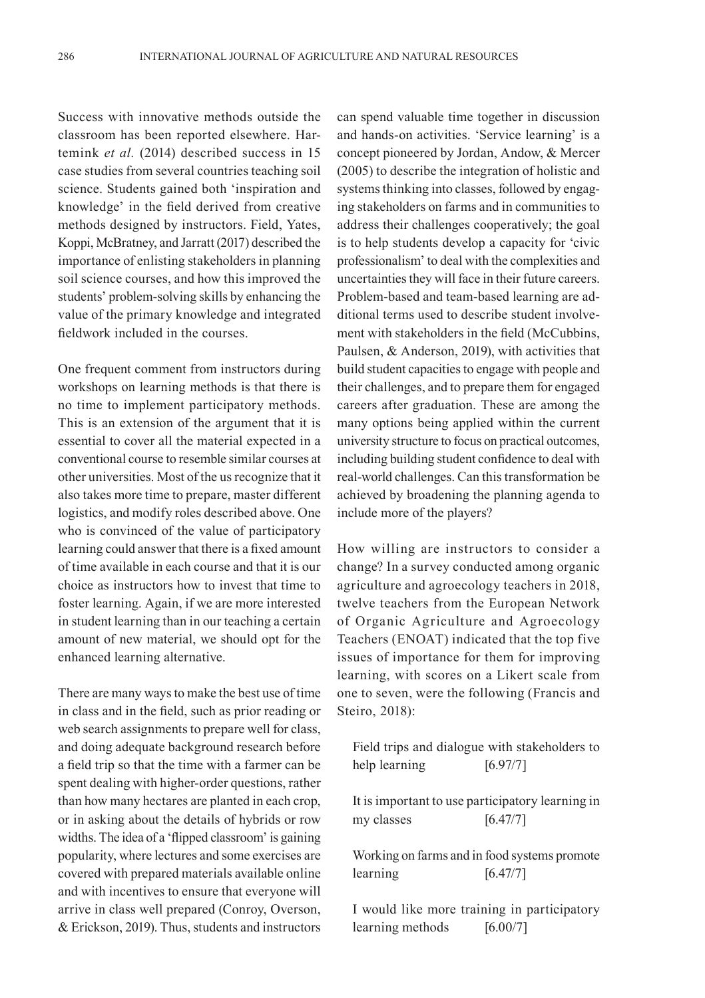Success with innovative methods outside the classroom has been reported elsewhere. Hartemink *et al.* (2014) described success in 15 case studies from several countries teaching soil science. Students gained both 'inspiration and knowledge' in the field derived from creative methods designed by instructors. Field, Yates, Koppi, McBratney, and Jarratt (2017) described the importance of enlisting stakeholders in planning soil science courses, and how this improved the students' problem-solving skills by enhancing the value of the primary knowledge and integrated fieldwork included in the courses.

One frequent comment from instructors during workshops on learning methods is that there is no time to implement participatory methods. This is an extension of the argument that it is essential to cover all the material expected in a conventional course to resemble similar courses at other universities. Most of the us recognize that it also takes more time to prepare, master different logistics, and modify roles described above. One who is convinced of the value of participatory learning could answer that there is a fixed amount of time available in each course and that it is our choice as instructors how to invest that time to foster learning. Again, if we are more interested in student learning than in our teaching a certain amount of new material, we should opt for the enhanced learning alternative.

There are many ways to make the best use of time in class and in the field, such as prior reading or web search assignments to prepare well for class, and doing adequate background research before a field trip so that the time with a farmer can be spent dealing with higher-order questions, rather than how many hectares are planted in each crop, or in asking about the details of hybrids or row widths. The idea of a 'flipped classroom' is gaining popularity, where lectures and some exercises are covered with prepared materials available online and with incentives to ensure that everyone will arrive in class well prepared (Conroy, Overson, & Erickson, 2019). Thus, students and instructors

can spend valuable time together in discussion and hands-on activities. 'Service learning' is a concept pioneered by Jordan, Andow, & Mercer (2005) to describe the integration of holistic and systems thinking into classes, followed by engaging stakeholders on farms and in communities to address their challenges cooperatively; the goal is to help students develop a capacity for 'civic professionalism' to deal with the complexities and uncertainties they will face in their future careers. Problem-based and team-based learning are additional terms used to describe student involvement with stakeholders in the field (McCubbins, Paulsen, & Anderson, 2019), with activities that build student capacities to engage with people and their challenges, and to prepare them for engaged careers after graduation. These are among the many options being applied within the current university structure to focus on practical outcomes, including building student confidence to deal with real-world challenges. Can this transformation be achieved by broadening the planning agenda to include more of the players?

How willing are instructors to consider a change? In a survey conducted among organic agriculture and agroecology teachers in 2018, twelve teachers from the European Network of Organic Agriculture and Agroecology Teachers (ENOAT) indicated that the top five issues of importance for them for improving learning, with scores on a Likert scale from one to seven, were the following (Francis and Steiro, 2018):

Field trips and dialogue with stakeholders to help learning [6.97/7]

It is important to use participatory learning in my classes  $[6.47/7]$ 

Working on farms and in food systems promote  $\text{learning}$  [6.47/7]

I would like more training in participatory learning methods [6.00/7]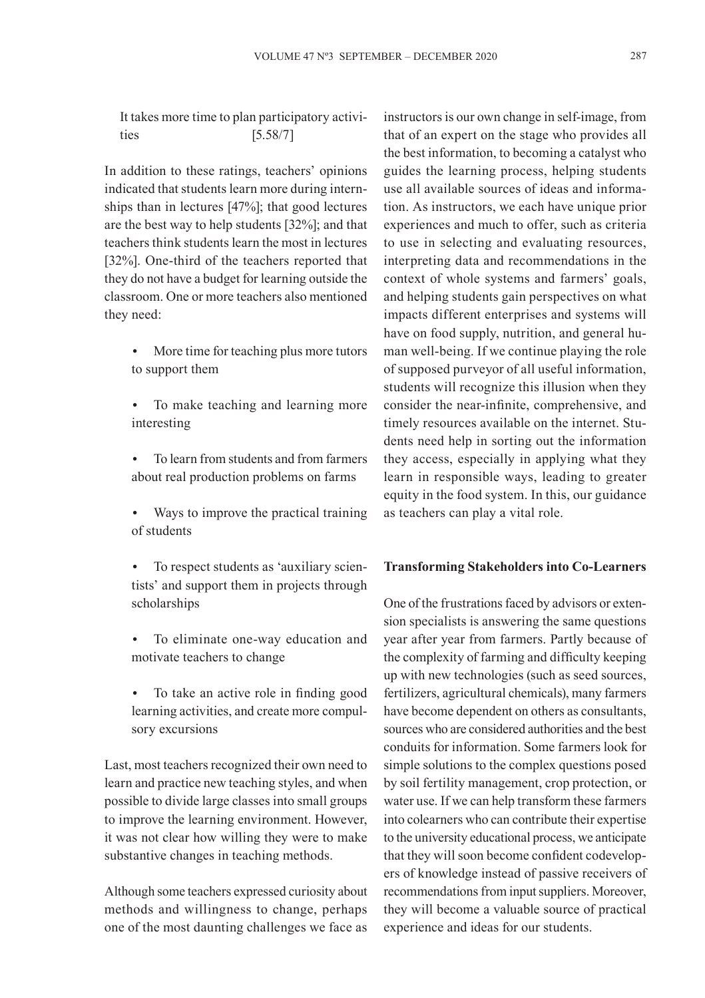It takes more time to plan participatory activities [5.58/7]

In addition to these ratings, teachers' opinions indicated that students learn more during internships than in lectures [47%]; that good lectures are the best way to help students [32%]; and that teachers think students learn the most in lectures [32%]. One-third of the teachers reported that they do not have a budget for learning outside the classroom. One or more teachers also mentioned they need:

- More time for teaching plus more tutors to support them
- To make teaching and learning more interesting
- To learn from students and from farmers about real production problems on farms
- Ways to improve the practical training of students
- To respect students as 'auxiliary scientists' and support them in projects through scholarships
- To eliminate one-way education and motivate teachers to change
- To take an active role in finding good learning activities, and create more compulsory excursions

Last, most teachers recognized their own need to learn and practice new teaching styles, and when possible to divide large classes into small groups to improve the learning environment. However, it was not clear how willing they were to make substantive changes in teaching methods.

Although some teachers expressed curiosity about methods and willingness to change, perhaps one of the most daunting challenges we face as

instructors is our own change in self-image, from that of an expert on the stage who provides all the best information, to becoming a catalyst who guides the learning process, helping students use all available sources of ideas and information. As instructors, we each have unique prior experiences and much to offer, such as criteria to use in selecting and evaluating resources, interpreting data and recommendations in the context of whole systems and farmers' goals, and helping students gain perspectives on what impacts different enterprises and systems will have on food supply, nutrition, and general human well-being. If we continue playing the role of supposed purveyor of all useful information, students will recognize this illusion when they consider the near-infinite, comprehensive, and timely resources available on the internet. Students need help in sorting out the information they access, especially in applying what they learn in responsible ways, leading to greater equity in the food system. In this, our guidance as teachers can play a vital role.

### **Transforming Stakeholders into Co-Learners**

One of the frustrations faced by advisors or extension specialists is answering the same questions year after year from farmers. Partly because of the complexity of farming and difficulty keeping up with new technologies (such as seed sources, fertilizers, agricultural chemicals), many farmers have become dependent on others as consultants, sources who are considered authorities and the best conduits for information. Some farmers look for simple solutions to the complex questions posed by soil fertility management, crop protection, or water use. If we can help transform these farmers into colearners who can contribute their expertise to the university educational process, we anticipate that they will soon become confident codevelopers of knowledge instead of passive receivers of recommendations from input suppliers. Moreover, they will become a valuable source of practical experience and ideas for our students.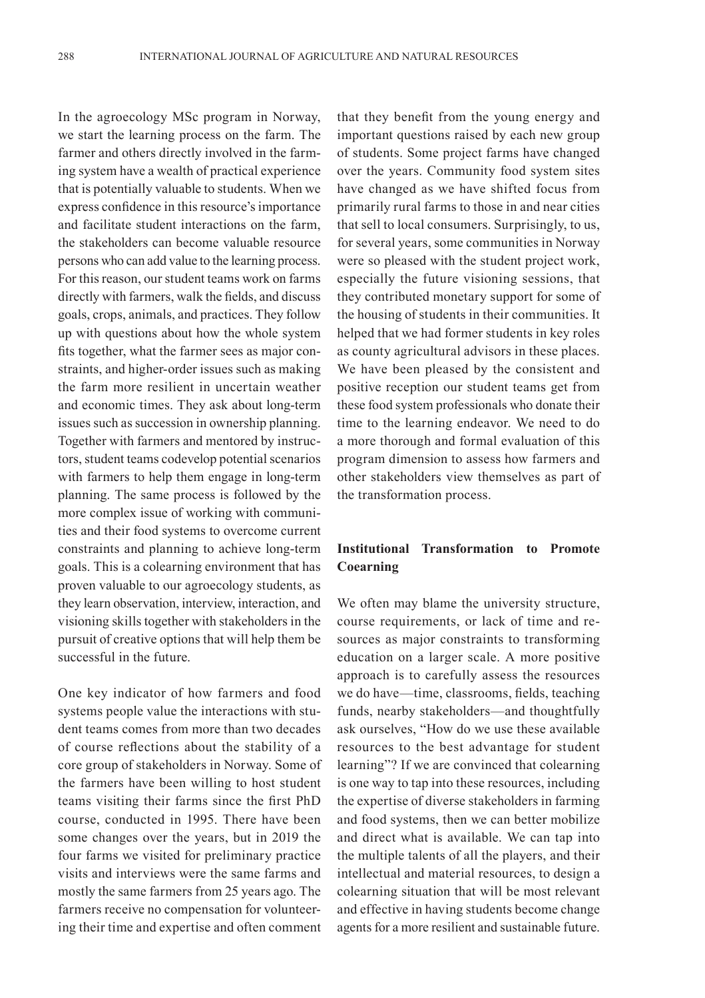In the agroecology MSc program in Norway, we start the learning process on the farm. The farmer and others directly involved in the farming system have a wealth of practical experience that is potentially valuable to students. When we express confidence in this resource's importance and facilitate student interactions on the farm, the stakeholders can become valuable resource persons who can add value to the learning process. For this reason, our student teams work on farms directly with farmers, walk the fields, and discuss goals, crops, animals, and practices. They follow up with questions about how the whole system fits together, what the farmer sees as major constraints, and higher-order issues such as making the farm more resilient in uncertain weather and economic times. They ask about long-term issues such as succession in ownership planning. Together with farmers and mentored by instructors, student teams codevelop potential scenarios with farmers to help them engage in long-term planning. The same process is followed by the more complex issue of working with communities and their food systems to overcome current constraints and planning to achieve long-term goals. This is a colearning environment that has proven valuable to our agroecology students, as they learn observation, interview, interaction, and visioning skills together with stakeholders in the pursuit of creative options that will help them be successful in the future.

One key indicator of how farmers and food systems people value the interactions with student teams comes from more than two decades of course reflections about the stability of a core group of stakeholders in Norway. Some of the farmers have been willing to host student teams visiting their farms since the first PhD course, conducted in 1995. There have been some changes over the years, but in 2019 the four farms we visited for preliminary practice visits and interviews were the same farms and mostly the same farmers from 25 years ago. The farmers receive no compensation for volunteering their time and expertise and often comment

that they benefit from the young energy and important questions raised by each new group of students. Some project farms have changed over the years. Community food system sites have changed as we have shifted focus from primarily rural farms to those in and near cities that sell to local consumers. Surprisingly, to us, for several years, some communities in Norway were so pleased with the student project work, especially the future visioning sessions, that they contributed monetary support for some of the housing of students in their communities. It helped that we had former students in key roles as county agricultural advisors in these places. We have been pleased by the consistent and positive reception our student teams get from these food system professionals who donate their time to the learning endeavor. We need to do a more thorough and formal evaluation of this program dimension to assess how farmers and other stakeholders view themselves as part of the transformation process.

# **Institutional Transformation to Promote Coearning**

We often may blame the university structure, course requirements, or lack of time and resources as major constraints to transforming education on a larger scale. A more positive approach is to carefully assess the resources we do have—time, classrooms, fields, teaching funds, nearby stakeholders—and thoughtfully ask ourselves, "How do we use these available resources to the best advantage for student learning"? If we are convinced that colearning is one way to tap into these resources, including the expertise of diverse stakeholders in farming and food systems, then we can better mobilize and direct what is available. We can tap into the multiple talents of all the players, and their intellectual and material resources, to design a colearning situation that will be most relevant and effective in having students become change agents for a more resilient and sustainable future.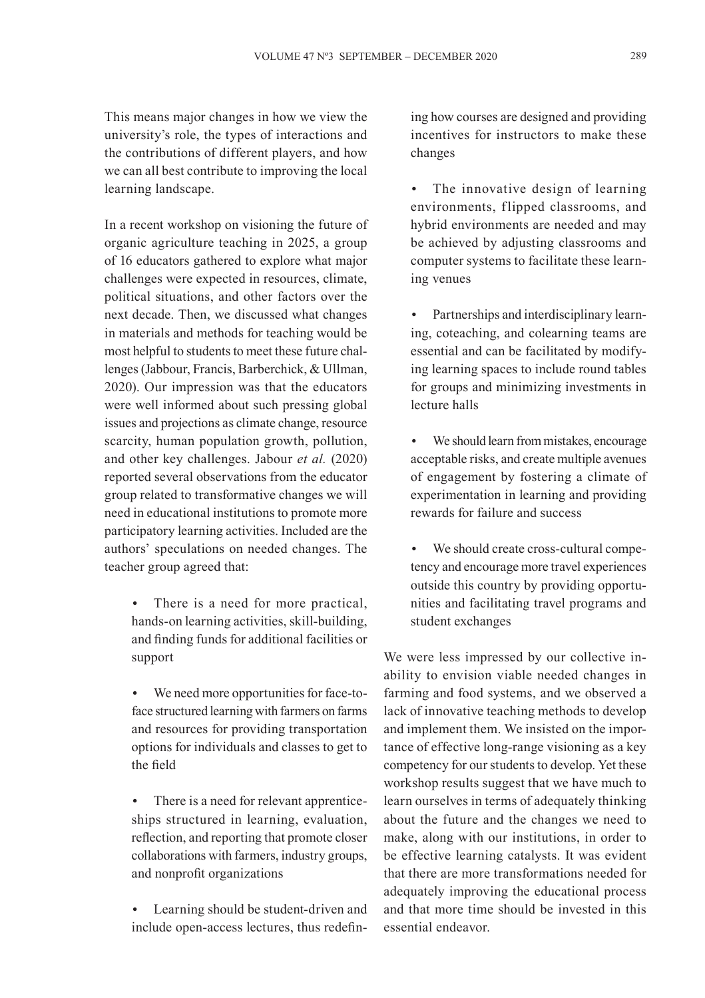This means major changes in how we view the university's role, the types of interactions and the contributions of different players, and how we can all best contribute to improving the local learning landscape.

In a recent workshop on visioning the future of organic agriculture teaching in 2025, a group of 16 educators gathered to explore what major challenges were expected in resources, climate, political situations, and other factors over the next decade. Then, we discussed what changes in materials and methods for teaching would be most helpful to students to meet these future challenges (Jabbour, Francis, Barberchick, & Ullman, 2020). Our impression was that the educators were well informed about such pressing global issues and projections as climate change, resource scarcity, human population growth, pollution, and other key challenges. Jabour *et al.* (2020) reported several observations from the educator group related to transformative changes we will need in educational institutions to promote more participatory learning activities. Included are the authors' speculations on needed changes. The teacher group agreed that:

- There is a need for more practical, hands-on learning activities, skill-building, and finding funds for additional facilities or support
- We need more opportunities for face-toface structured learning with farmers on farms and resources for providing transportation options for individuals and classes to get to the field

There is a need for relevant apprenticeships structured in learning, evaluation, reflection, and reporting that promote closer collaborations with farmers, industry groups, and nonprofit organizations

Learning should be student-driven and include open-access lectures, thus redefining how courses are designed and providing incentives for instructors to make these changes

- The innovative design of learning environments, flipped classrooms, and hybrid environments are needed and may be achieved by adjusting classrooms and computer systems to facilitate these learning venues
- Partnerships and interdisciplinary learning, coteaching, and colearning teams are essential and can be facilitated by modifying learning spaces to include round tables for groups and minimizing investments in lecture halls
- We should learn from mistakes, encourage acceptable risks, and create multiple avenues of engagement by fostering a climate of experimentation in learning and providing rewards for failure and success
- We should create cross-cultural competency and encourage more travel experiences outside this country by providing opportunities and facilitating travel programs and student exchanges

We were less impressed by our collective inability to envision viable needed changes in farming and food systems, and we observed a lack of innovative teaching methods to develop and implement them. We insisted on the importance of effective long-range visioning as a key competency for our students to develop. Yet these workshop results suggest that we have much to learn ourselves in terms of adequately thinking about the future and the changes we need to make, along with our institutions, in order to be effective learning catalysts. It was evident that there are more transformations needed for adequately improving the educational process and that more time should be invested in this essential endeavor.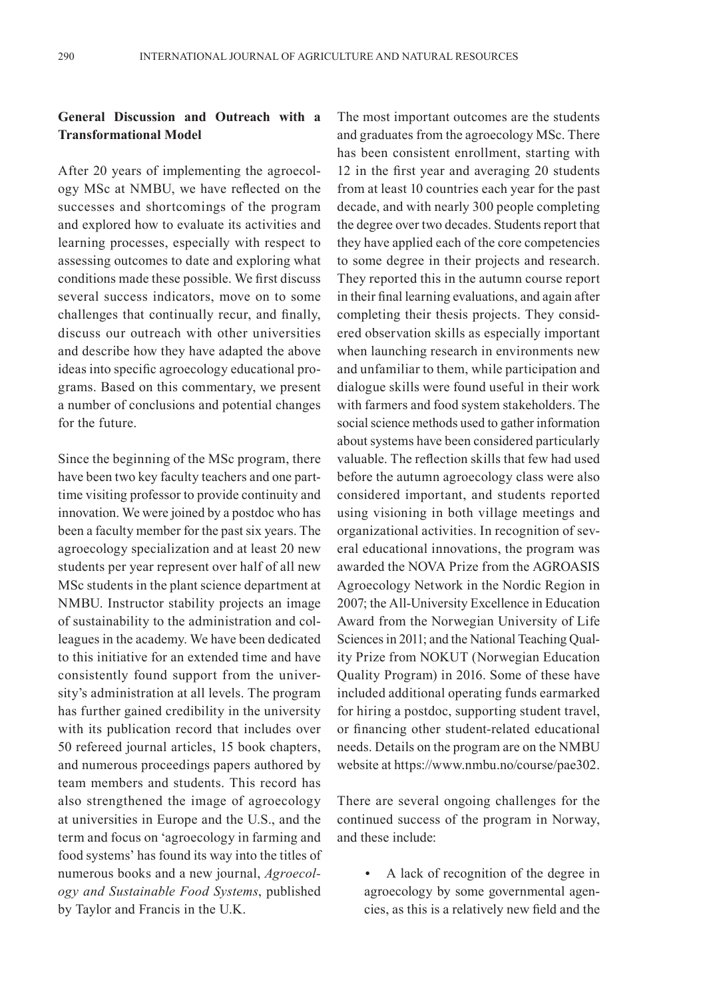# **General Discussion and Outreach with a Transformational Model**

After 20 years of implementing the agroecology MSc at NMBU, we have reflected on the successes and shortcomings of the program and explored how to evaluate its activities and learning processes, especially with respect to assessing outcomes to date and exploring what conditions made these possible. We first discuss several success indicators, move on to some challenges that continually recur, and finally, discuss our outreach with other universities and describe how they have adapted the above ideas into specific agroecology educational programs. Based on this commentary, we present a number of conclusions and potential changes for the future.

Since the beginning of the MSc program, there have been two key faculty teachers and one parttime visiting professor to provide continuity and innovation. We were joined by a postdoc who has been a faculty member for the past six years. The agroecology specialization and at least 20 new students per year represent over half of all new MSc students in the plant science department at NMBU. Instructor stability projects an image of sustainability to the administration and colleagues in the academy. We have been dedicated to this initiative for an extended time and have consistently found support from the university's administration at all levels. The program has further gained credibility in the university with its publication record that includes over 50 refereed journal articles, 15 book chapters, and numerous proceedings papers authored by team members and students. This record has also strengthened the image of agroecology at universities in Europe and the U.S., and the term and focus on 'agroecology in farming and food systems' has found its way into the titles of numerous books and a new journal, *Agroecology and Sustainable Food Systems*, published by Taylor and Francis in the U.K.

The most important outcomes are the students and graduates from the agroecology MSc. There has been consistent enrollment, starting with 12 in the first year and averaging 20 students from at least 10 countries each year for the past decade, and with nearly 300 people completing the degree over two decades. Students report that they have applied each of the core competencies to some degree in their projects and research. They reported this in the autumn course report in their final learning evaluations, and again after completing their thesis projects. They considered observation skills as especially important when launching research in environments new and unfamiliar to them, while participation and dialogue skills were found useful in their work with farmers and food system stakeholders. The social science methods used to gather information about systems have been considered particularly valuable. The reflection skills that few had used before the autumn agroecology class were also considered important, and students reported using visioning in both village meetings and organizational activities. In recognition of several educational innovations, the program was awarded the NOVA Prize from the AGROASIS Agroecology Network in the Nordic Region in 2007; the All-University Excellence in Education Award from the Norwegian University of Life Sciences in 2011; and the National Teaching Quality Prize from NOKUT (Norwegian Education Quality Program) in 2016. Some of these have included additional operating funds earmarked for hiring a postdoc, supporting student travel, or financing other student-related educational needs. Details on the program are on the NMBU website at https://www.nmbu.no/course/pae302.

There are several ongoing challenges for the continued success of the program in Norway, and these include:

• A lack of recognition of the degree in agroecology by some governmental agencies, as this is a relatively new field and the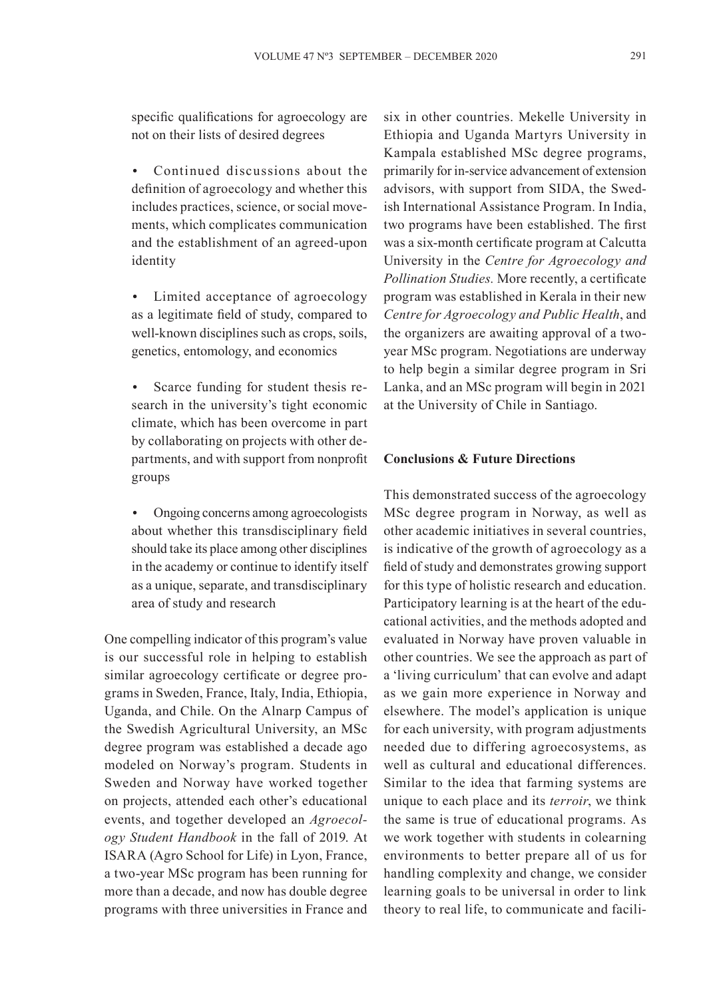specific qualifications for agroecology are not on their lists of desired degrees

• Continued discussions about the definition of agroecology and whether this includes practices, science, or social movements, which complicates communication and the establishment of an agreed-upon identity

• Limited acceptance of agroecology as a legitimate field of study, compared to well-known disciplines such as crops, soils, genetics, entomology, and economics

• Scarce funding for student thesis research in the university's tight economic climate, which has been overcome in part by collaborating on projects with other departments, and with support from nonprofit groups

• Ongoing concerns among agroecologists about whether this transdisciplinary field should take its place among other disciplines in the academy or continue to identify itself as a unique, separate, and transdisciplinary area of study and research

One compelling indicator of this program's value is our successful role in helping to establish similar agroecology certificate or degree programs in Sweden, France, Italy, India, Ethiopia, Uganda, and Chile. On the Alnarp Campus of the Swedish Agricultural University, an MSc degree program was established a decade ago modeled on Norway's program. Students in Sweden and Norway have worked together on projects, attended each other's educational events, and together developed an *Agroecology Student Handbook* in the fall of 2019. At ISARA (Agro School for Life) in Lyon, France, a two-year MSc program has been running for more than a decade, and now has double degree programs with three universities in France and six in other countries. Mekelle University in Ethiopia and Uganda Martyrs University in Kampala established MSc degree programs, primarily for in-service advancement of extension advisors, with support from SIDA, the Swedish International Assistance Program. In India, two programs have been established. The first was a six-month certificate program at Calcutta University in the *Centre for Agroecology and Pollination Studies.* More recently, a certificate program was established in Kerala in their new *Centre for Agroecology and Public Health*, and the organizers are awaiting approval of a twoyear MSc program. Negotiations are underway to help begin a similar degree program in Sri Lanka, and an MSc program will begin in 2021 at the University of Chile in Santiago.

## **Conclusions & Future Directions**

This demonstrated success of the agroecology MSc degree program in Norway, as well as other academic initiatives in several countries, is indicative of the growth of agroecology as a field of study and demonstrates growing support for this type of holistic research and education. Participatory learning is at the heart of the educational activities, and the methods adopted and evaluated in Norway have proven valuable in other countries. We see the approach as part of a 'living curriculum' that can evolve and adapt as we gain more experience in Norway and elsewhere. The model's application is unique for each university, with program adjustments needed due to differing agroecosystems, as well as cultural and educational differences. Similar to the idea that farming systems are unique to each place and its *terroir*, we think the same is true of educational programs. As we work together with students in colearning environments to better prepare all of us for handling complexity and change, we consider learning goals to be universal in order to link theory to real life, to communicate and facili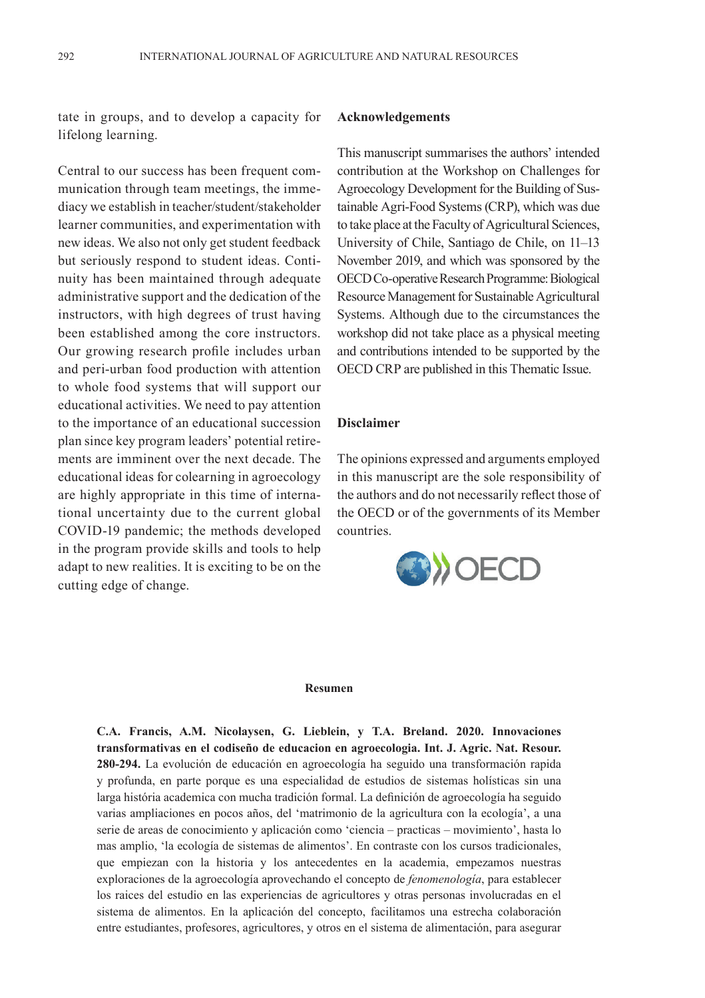tate in groups, and to develop a capacity for lifelong learning.

Central to our success has been frequent communication through team meetings, the immediacy we establish in teacher/student/stakeholder learner communities, and experimentation with new ideas. We also not only get student feedback but seriously respond to student ideas. Continuity has been maintained through adequate administrative support and the dedication of the instructors, with high degrees of trust having been established among the core instructors. Our growing research profile includes urban and peri-urban food production with attention to whole food systems that will support our educational activities. We need to pay attention to the importance of an educational succession plan since key program leaders' potential retirements are imminent over the next decade. The educational ideas for colearning in agroecology are highly appropriate in this time of international uncertainty due to the current global COVID-19 pandemic; the methods developed in the program provide skills and tools to help adapt to new realities. It is exciting to be on the cutting edge of change.

#### **Acknowledgements**

This manuscript summarises the authors' intended contribution at the Workshop on Challenges for Agroecology Development for the Building of Sustainable Agri-Food Systems (CRP), which was due to take place at the Faculty of Agricultural Sciences, University of Chile, Santiago de Chile, on 11–13 November 2019, and which was sponsored by the OECD Co-operative Research Programme: Biological Resource Management for Sustainable Agricultural Systems. Although due to the circumstances the workshop did not take place as a physical meeting and contributions intended to be supported by the OECD CRP are published in this Thematic Issue.

### **Disclaimer**

The opinions expressed and arguments employed in this manuscript are the sole responsibility of the authors and do not necessarily reflect those of the OECD or of the governments of its Member countries.



#### **Resumen**

**C.A. Francis, A.M. Nicolaysen, G. Lieblein, y T.A. Breland. 2020. Innovaciones transformativas en el codiseño de educacion en agroecologia. Int. J. Agric. Nat. Resour. 280-294.** La evolución de educación en agroecología ha seguido una transformación rapida y profunda, en parte porque es una especialidad de estudios de sistemas holísticas sin una larga história academica con mucha tradición formal. La definición de agroecología ha seguido varias ampliaciones en pocos años, del 'matrimonio de la agricultura con la ecología', a una serie de areas de conocimiento y aplicación como 'ciencia – practicas – movimiento', hasta lo mas amplio, 'la ecología de sistemas de alimentos'. En contraste con los cursos tradicionales, que empiezan con la historia y los antecedentes en la academia, empezamos nuestras exploraciones de la agroecología aprovechando el concepto de *fenomenología*, para establecer los raices del estudio en las experiencias de agricultores y otras personas involucradas en el sistema de alimentos. En la aplicación del concepto, facilitamos una estrecha colaboración entre estudiantes, profesores, agricultores, y otros en el sistema de alimentación, para asegurar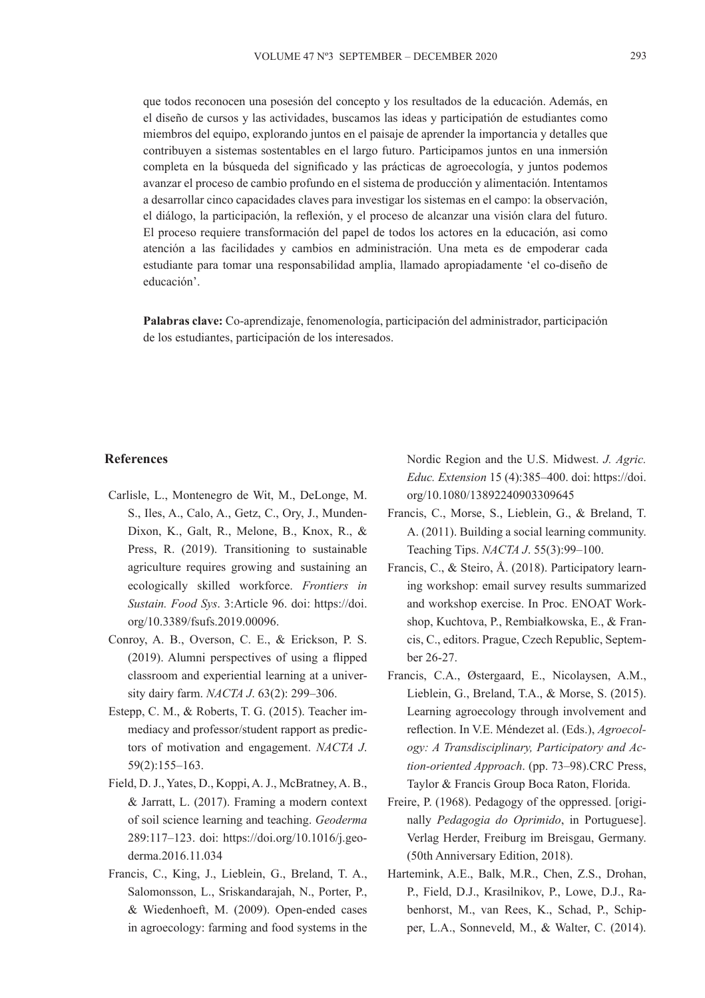que todos reconocen una posesión del concepto y los resultados de la educación. Además, en el diseño de cursos y las actividades, buscamos las ideas y participatión de estudiantes como miembros del equipo, explorando juntos en el paisaje de aprender la importancia y detalles que contribuyen a sistemas sostentables en el largo futuro. Participamos juntos en una inmersión completa en la búsqueda del significado y las prácticas de agroecología, y juntos podemos avanzar el proceso de cambio profundo en el sistema de producción y alimentación. Intentamos a desarrollar cinco capacidades claves para investigar los sistemas en el campo: la observación, el diálogo, la participación, la reflexión, y el proceso de alcanzar una visión clara del futuro. El proceso requiere transformación del papel de todos los actores en la educación, asi como atención a las facilidades y cambios en administración. Una meta es de empoderar cada estudiante para tomar una responsabilidad amplia, llamado apropiadamente 'el co-diseño de educación'.

**Palabras clave:** Co-aprendizaje, fenomenología, participación del administrador, participación de los estudiantes, participación de los interesados.

#### **References**

- Carlisle, L., Montenegro de Wit, M., DeLonge, M. S., Iles, A., Calo, A., Getz, C., Ory, J., Munden-Dixon, K., Galt, R., Melone, B., Knox, R., & Press, R. (2019). Transitioning to sustainable agriculture requires growing and sustaining an ecologically skilled workforce. *Frontiers in Sustain. Food Sys*. 3:Article 96. doi: https://doi. org/10.3389/fsufs.2019.00096.
- Conroy, A. B., Overson, C. E., & Erickson, P. S. (2019). Alumni perspectives of using a flipped classroom and experiential learning at a university dairy farm. *NACTA J*. 63(2): 299–306.
- Estepp, C. M., & Roberts, T. G. (2015). Teacher immediacy and professor/student rapport as predictors of motivation and engagement. *NACTA J*. 59(2):155–163.
- Field, D. J., Yates, D., Koppi, A. J., McBratney, A. B., & Jarratt, L. (2017). Framing a modern context of soil science learning and teaching. *Geoderma* 289:117–123. doi: https://doi.org/10.1016/j.geoderma.2016.11.034
- Francis, C., King, J., Lieblein, G., Breland, T. A., Salomonsson, L., Sriskandarajah, N., Porter, P., & Wiedenhoeft, M. (2009). Open-ended cases in agroecology: farming and food systems in the

Nordic Region and the U.S. Midwest. *J. Agric. Educ. Extension* 15 (4):385–400. doi: https://doi. org/10.1080/13892240903309645

- Francis, C., Morse, S., Lieblein, G., & Breland, T. A. (2011). Building a social learning community. Teaching Tips. *NACTA J*. 55(3):99–100.
- Francis, C., & Steiro, Å. (2018). Participatory learning workshop: email survey results summarized and workshop exercise. In Proc. ENOAT Workshop, Kuchtova, P., Rembiałkowska, E., & Francis, C., editors. Prague, Czech Republic, September 26-27.
- Francis, C.A., Østergaard, E., Nicolaysen, A.M., Lieblein, G., Breland, T.A., & Morse, S. (2015). Learning agroecology through involvement and reflection. In V.E. Méndezet al. (Eds.), *Agroecology: A Transdisciplinary, Participatory and Action-oriented Approach*. (pp. 73–98).CRC Press, Taylor & Francis Group Boca Raton, Florida.
- Freire, P. (1968). Pedagogy of the oppressed. [originally *Pedagogia do Oprimido*, in Portuguese]. Verlag Herder, Freiburg im Breisgau, Germany. (50th Anniversary Edition, 2018).
- Hartemink, A.E., Balk, M.R., Chen, Z.S., Drohan, P., Field, D.J., Krasilnikov, P., Lowe, D.J., Rabenhorst, M., van Rees, K., Schad, P., Schipper, L.A., Sonneveld, M., & Walter, C. (2014).